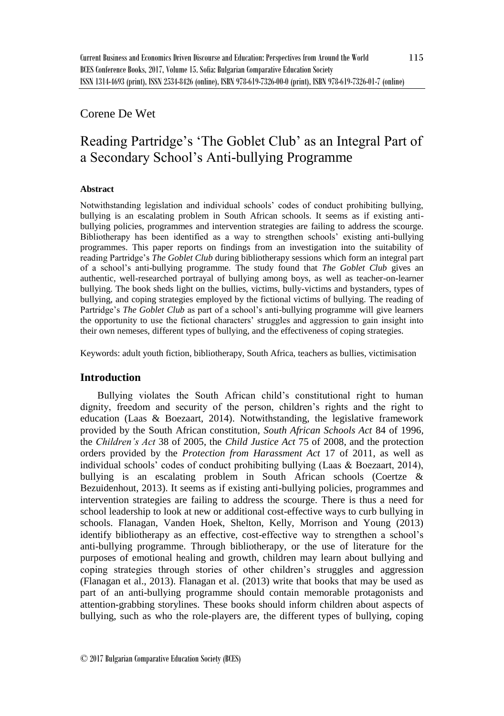## Corene De Wet

# Reading Partridge's 'The Goblet Club' as an Integral Part of a Secondary School's Anti-bullying Programme

## **Abstract**

Notwithstanding legislation and individual schools' codes of conduct prohibiting bullying, bullying is an escalating problem in South African schools. It seems as if existing antibullying policies, programmes and intervention strategies are failing to address the scourge. Bibliotherapy has been identified as a way to strengthen schools' existing anti-bullying programmes. This paper reports on findings from an investigation into the suitability of reading Partridge's *The Goblet Club* during bibliotherapy sessions which form an integral part of a school's anti-bullying programme. The study found that *The Goblet Club* gives an authentic, well-researched portrayal of bullying among boys, as well as teacher-on-learner bullying. The book sheds light on the bullies, victims, bully-victims and bystanders, types of bullying, and coping strategies employed by the fictional victims of bullying. The reading of Partridge's *The Goblet Club* as part of a school's anti-bullying programme will give learners the opportunity to use the fictional characters' struggles and aggression to gain insight into their own nemeses, different types of bullying, and the effectiveness of coping strategies.

Keywords: adult youth fiction, bibliotherapy, South Africa, teachers as bullies, victimisation

## **Introduction**

Bullying violates the South African child's constitutional right to human dignity, freedom and security of the person, children's rights and the right to education (Laas & Boezaart, 2014). Notwithstanding, the legislative framework provided by the South African constitution, *South African Schools Act* 84 of 1996, the *Children's Act* 38 of 2005, the *Child Justice Act* 75 of 2008, and the protection orders provided by the *Protection from Harassment Act* 17 of 2011, as well as individual schools' codes of conduct prohibiting bullying (Laas & Boezaart, 2014), bullying is an escalating problem in South African schools (Coertze & Bezuidenhout, 2013). It seems as if existing anti-bullying policies, programmes and intervention strategies are failing to address the scourge. There is thus a need for school leadership to look at new or additional cost-effective ways to curb bullying in schools. Flanagan, Vanden Hoek, Shelton, Kelly, Morrison and Young (2013) identify bibliotherapy as an effective, cost-effective way to strengthen a school's anti-bullying programme. Through bibliotherapy, or the use of literature for the purposes of emotional healing and growth, children may learn about bullying and coping strategies through stories of other children's struggles and aggression (Flanagan et al., 2013). Flanagan et al. (2013) write that books that may be used as part of an anti-bullying programme should contain memorable protagonists and attention-grabbing storylines. These books should inform children about aspects of bullying, such as who the role-players are, the different types of bullying, coping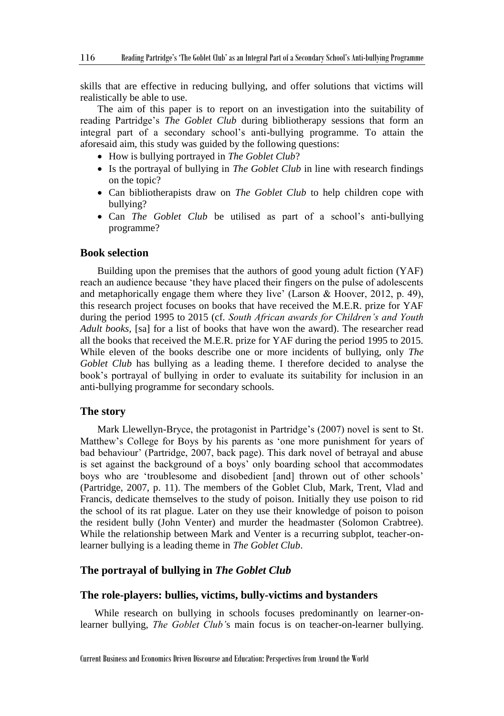skills that are effective in reducing bullying, and offer solutions that victims will realistically be able to use.

The aim of this paper is to report on an investigation into the suitability of reading Partridge's *The Goblet Club* during bibliotherapy sessions that form an integral part of a secondary school's anti-bullying programme. To attain the aforesaid aim, this study was guided by the following questions:

- How is bullying portrayed in *The Goblet Club*?
- Is the portrayal of bullying in *The Goblet Club* in line with research findings on the topic?
- Can bibliotherapists draw on *The Goblet Club* to help children cope with bullying?
- Can *The Goblet Club* be utilised as part of a school's anti-bullying programme?

## **Book selection**

Building upon the premises that the authors of good young adult fiction (YAF) reach an audience because 'they have placed their fingers on the pulse of adolescents and metaphorically engage them where they live' (Larson & Hoover, 2012, p. 49), this research project focuses on books that have received the M.E.R. prize for YAF during the period 1995 to 2015 (cf. *South African awards for Children's and Youth Adult books,* [sa] for a list of books that have won the award). The researcher read all the books that received the M.E.R. prize for YAF during the period 1995 to 2015. While eleven of the books describe one or more incidents of bullying, only *The Goblet Club* has bullying as a leading theme. I therefore decided to analyse the book's portrayal of bullying in order to evaluate its suitability for inclusion in an anti-bullying programme for secondary schools.

#### **The story**

Mark Llewellyn-Bryce, the protagonist in Partridge's (2007) novel is sent to St. Matthew's College for Boys by his parents as 'one more punishment for years of bad behaviour' (Partridge, 2007, back page). This dark novel of betrayal and abuse is set against the background of a boys' only boarding school that accommodates boys who are 'troublesome and disobedient [and] thrown out of other schools' (Partridge, 2007, p. 11). The members of the Goblet Club, Mark, Trent, Vlad and Francis, dedicate themselves to the study of poison. Initially they use poison to rid the school of its rat plague. Later on they use their knowledge of poison to poison the resident bully (John Venter) and murder the headmaster (Solomon Crabtree). While the relationship between Mark and Venter is a recurring subplot, teacher-onlearner bullying is a leading theme in *The Goblet Club*.

#### **The portrayal of bullying in** *The Goblet Club*

#### **The role-players: bullies, victims, bully-victims and bystanders**

While research on bullying in schools focuses predominantly on learner-onlearner bullying, *The Goblet Club'*s main focus is on teacher-on-learner bullying.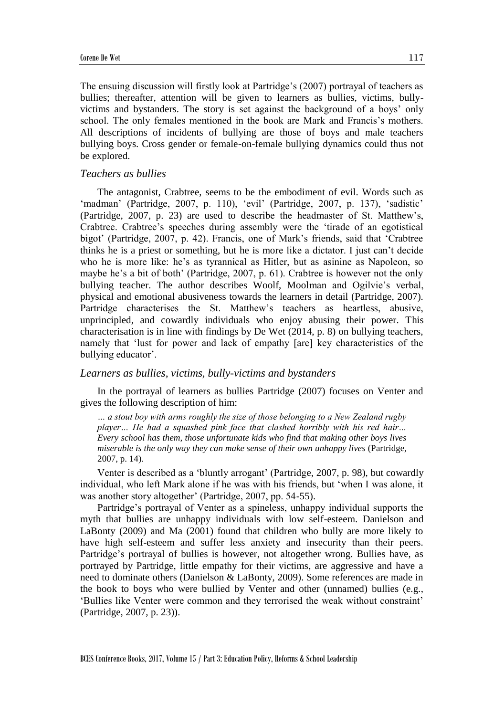The ensuing discussion will firstly look at Partridge's (2007) portrayal of teachers as bullies; thereafter, attention will be given to learners as bullies, victims, bullyvictims and bystanders. The story is set against the background of a boys' only school. The only females mentioned in the book are Mark and Francis's mothers. All descriptions of incidents of bullying are those of boys and male teachers bullying boys. Cross gender or female-on-female bullying dynamics could thus not be explored.

#### *Teachers as bullies*

The antagonist, Crabtree, seems to be the embodiment of evil. Words such as 'madman' (Partridge, 2007, p. 110), 'evil' (Partridge, 2007, p. 137), 'sadistic' (Partridge, 2007, p. 23) are used to describe the headmaster of St. Matthew's, Crabtree. Crabtree's speeches during assembly were the 'tirade of an egotistical bigot' (Partridge, 2007, p. 42). Francis, one of Mark's friends, said that 'Crabtree thinks he is a priest or something, but he is more like a dictator. I just can't decide who he is more like: he's as tyrannical as Hitler, but as asinine as Napoleon, so maybe he's a bit of both' (Partridge, 2007, p. 61). Crabtree is however not the only bullying teacher. The author describes Woolf, Moolman and Ogilvie's verbal, physical and emotional abusiveness towards the learners in detail (Partridge, 2007). Partridge characterises the St. Matthew's teachers as heartless, abusive, unprincipled, and cowardly individuals who enjoy abusing their power. This characterisation is in line with findings by De Wet (2014, p. 8) on bullying teachers, namely that 'lust for power and lack of empathy [are] key characteristics of the bullying educator'.

#### *Learners as bullies, victims, bully-victims and bystanders*

In the portrayal of learners as bullies Partridge (2007) focuses on Venter and gives the following description of him:

*… a stout boy with arms roughly the size of those belonging to a New Zealand rugby player… He had a squashed pink face that clashed horribly with his red hair… Every school has them, those unfortunate kids who find that making other boys lives miserable is the only way they can make sense of their own unhappy lives (Partridge,* 2007, p. 14)*.*

Venter is described as a 'bluntly arrogant' (Partridge, 2007, p. 98), but cowardly individual, who left Mark alone if he was with his friends, but 'when I was alone, it was another story altogether' (Partridge, 2007, pp. 54-55).

Partridge's portrayal of Venter as a spineless, unhappy individual supports the myth that bullies are unhappy individuals with low self-esteem. Danielson and LaBonty (2009) and Ma (2001) found that children who bully are more likely to have high self-esteem and suffer less anxiety and insecurity than their peers. Partridge's portrayal of bullies is however, not altogether wrong. Bullies have, as portrayed by Partridge, little empathy for their victims, are aggressive and have a need to dominate others (Danielson & LaBonty, 2009). Some references are made in the book to boys who were bullied by Venter and other (unnamed) bullies (e.g., 'Bullies like Venter were common and they terrorised the weak without constraint' (Partridge, 2007, p. 23)).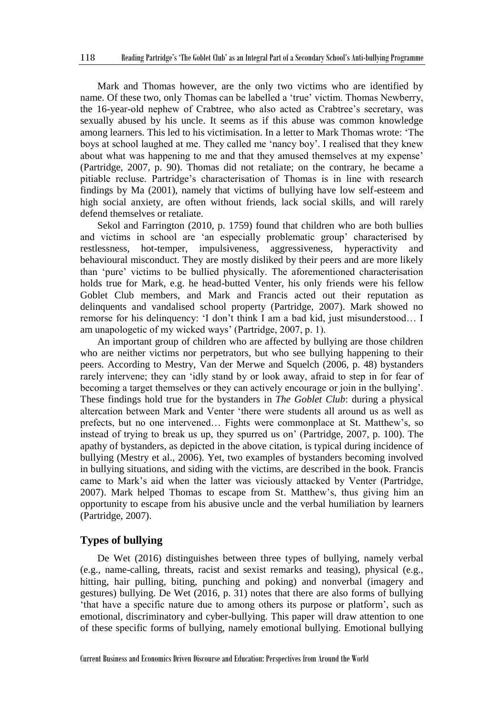Mark and Thomas however, are the only two victims who are identified by name. Of these two, only Thomas can be labelled a 'true' victim. Thomas Newberry, the 16-year-old nephew of Crabtree, who also acted as Crabtree's secretary, was sexually abused by his uncle. It seems as if this abuse was common knowledge among learners. This led to his victimisation. In a letter to Mark Thomas wrote: 'The boys at school laughed at me. They called me 'nancy boy'. I realised that they knew about what was happening to me and that they amused themselves at my expense' (Partridge, 2007, p. 90). Thomas did not retaliate; on the contrary, he became a pitiable recluse. Partridge's characterisation of Thomas is in line with research findings by Ma (2001), namely that victims of bullying have low self-esteem and high social anxiety, are often without friends, lack social skills, and will rarely defend themselves or retaliate.

Sekol and Farrington (2010, p. 1759) found that children who are both bullies and victims in school are 'an especially problematic group' characterised by restlessness, hot-temper, impulsiveness, aggressiveness, hyperactivity and behavioural misconduct. They are mostly disliked by their peers and are more likely than 'pure' victims to be bullied physically. The aforementioned characterisation holds true for Mark, e.g. he head-butted Venter, his only friends were his fellow Goblet Club members, and Mark and Francis acted out their reputation as delinquents and vandalised school property (Partridge, 2007). Mark showed no remorse for his delinquency: 'I don't think I am a bad kid, just misunderstood… I am unapologetic of my wicked ways' (Partridge, 2007, p. 1).

An important group of children who are affected by bullying are those children who are neither victims nor perpetrators, but who see bullying happening to their peers. According to Mestry, Van der Merwe and Squelch (2006, p. 48) bystanders rarely intervene; they can 'idly stand by or look away, afraid to step in for fear of becoming a target themselves or they can actively encourage or join in the bullying'. These findings hold true for the bystanders in *The Goblet Club*: during a physical altercation between Mark and Venter 'there were students all around us as well as prefects, but no one intervened… Fights were commonplace at St. Matthew's, so instead of trying to break us up, they spurred us on' (Partridge, 2007, p. 100). The apathy of bystanders, as depicted in the above citation, is typical during incidence of bullying (Mestry et al., 2006). Yet, two examples of bystanders becoming involved in bullying situations, and siding with the victims, are described in the book. Francis came to Mark's aid when the latter was viciously attacked by Venter (Partridge, 2007). Mark helped Thomas to escape from St. Matthew's, thus giving him an opportunity to escape from his abusive uncle and the verbal humiliation by learners (Partridge, 2007).

#### **Types of bullying**

De Wet (2016) distinguishes between three types of bullying, namely verbal (e.g., name-calling, threats, racist and sexist remarks and teasing), physical (e.g., hitting, hair pulling, biting, punching and poking) and nonverbal (imagery and gestures) bullying. De Wet (2016, p. 31) notes that there are also forms of bullying 'that have a specific nature due to among others its purpose or platform', such as emotional, discriminatory and cyber-bullying. This paper will draw attention to one of these specific forms of bullying, namely emotional bullying. Emotional bullying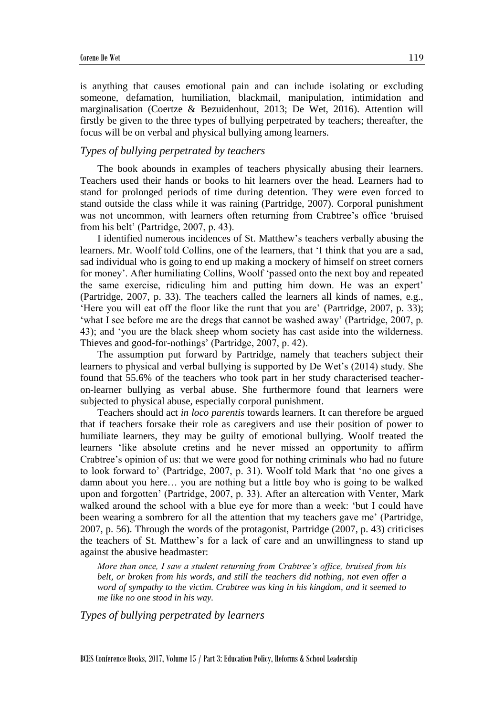is anything that causes emotional pain and can include isolating or excluding someone, defamation, humiliation, blackmail, manipulation, intimidation and marginalisation (Coertze & Bezuidenhout, 2013; De Wet, 2016). Attention will firstly be given to the three types of bullying perpetrated by teachers; thereafter, the focus will be on verbal and physical bullying among learners.

#### *Types of bullying perpetrated by teachers*

The book abounds in examples of teachers physically abusing their learners. Teachers used their hands or books to hit learners over the head. Learners had to stand for prolonged periods of time during detention. They were even forced to stand outside the class while it was raining (Partridge, 2007). Corporal punishment was not uncommon, with learners often returning from Crabtree's office 'bruised from his belt' (Partridge, 2007, p. 43).

I identified numerous incidences of St. Matthew's teachers verbally abusing the learners. Mr. Woolf told Collins, one of the learners, that 'I think that you are a sad, sad individual who is going to end up making a mockery of himself on street corners for money'. After humiliating Collins, Woolf 'passed onto the next boy and repeated the same exercise, ridiculing him and putting him down. He was an expert' (Partridge, 2007, p. 33). The teachers called the learners all kinds of names, e.g., 'Here you will eat off the floor like the runt that you are' (Partridge, 2007, p. 33); 'what I see before me are the dregs that cannot be washed away' (Partridge, 2007, p. 43); and 'you are the black sheep whom society has cast aside into the wilderness. Thieves and good-for-nothings' (Partridge, 2007, p. 42).

The assumption put forward by Partridge, namely that teachers subject their learners to physical and verbal bullying is supported by De Wet's (2014) study. She found that 55.6% of the teachers who took part in her study characterised teacheron-learner bullying as verbal abuse. She furthermore found that learners were subjected to physical abuse, especially corporal punishment.

Teachers should act *in loco parentis* towards learners. It can therefore be argued that if teachers forsake their role as caregivers and use their position of power to humiliate learners, they may be guilty of emotional bullying. Woolf treated the learners 'like absolute cretins and he never missed an opportunity to affirm Crabtree's opinion of us: that we were good for nothing criminals who had no future to look forward to' (Partridge, 2007, p. 31). Woolf told Mark that 'no one gives a damn about you here… you are nothing but a little boy who is going to be walked upon and forgotten' (Partridge, 2007, p. 33). After an altercation with Venter, Mark walked around the school with a blue eye for more than a week: 'but I could have been wearing a sombrero for all the attention that my teachers gave me' (Partridge, 2007, p. 56). Through the words of the protagonist, Partridge (2007, p. 43) criticises the teachers of St. Matthew's for a lack of care and an unwillingness to stand up against the abusive headmaster:

*More than once, I saw a student returning from Crabtree's office, bruised from his belt, or broken from his words, and still the teachers did nothing, not even offer a word of sympathy to the victim. Crabtree was king in his kingdom, and it seemed to me like no one stood in his way.*

*Types of bullying perpetrated by learners* 

BCES Conference Books, 2017, Volume 15 / Part 3: Education Policy, Reforms & School Leadership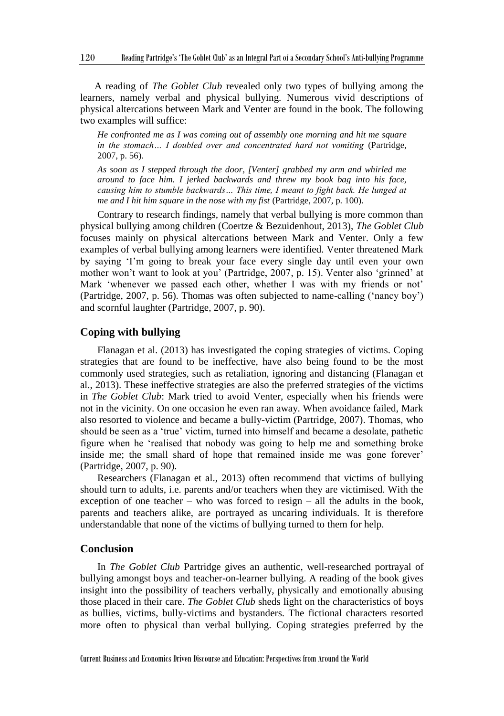A reading of *The Goblet Club* revealed only two types of bullying among the learners, namely verbal and physical bullying. Numerous vivid descriptions of physical altercations between Mark and Venter are found in the book. The following two examples will suffice:

*He confronted me as I was coming out of assembly one morning and hit me square in the stomach… I doubled over and concentrated hard not vomiting (Partridge, in the stomach...)* 2007, p. 56)*.*

*As soon as I stepped through the door, [Venter] grabbed my arm and whirled me around to face him. I jerked backwards and threw my book bag into his face, causing him to stumble backwards… This time, I meant to fight back. He lunged at me and I hit him square in the nose with my fist (Partridge, 2007, p. 100).* 

Contrary to research findings, namely that verbal bullying is more common than physical bullying among children (Coertze & Bezuidenhout, 2013), *The Goblet Club* focuses mainly on physical altercations between Mark and Venter. Only a few examples of verbal bullying among learners were identified. Venter threatened Mark by saying 'I'm going to break your face every single day until even your own mother won't want to look at you' (Partridge, 2007, p. 15). Venter also 'grinned' at Mark 'whenever we passed each other, whether I was with my friends or not' (Partridge, 2007, p. 56). Thomas was often subjected to name-calling ('nancy boy') and scornful laughter (Partridge, 2007, p. 90).

#### **Coping with bullying**

Flanagan et al. (2013) has investigated the coping strategies of victims. Coping strategies that are found to be ineffective, have also being found to be the most commonly used strategies, such as retaliation, ignoring and distancing (Flanagan et al., 2013). These ineffective strategies are also the preferred strategies of the victims in *The Goblet Club*: Mark tried to avoid Venter, especially when his friends were not in the vicinity. On one occasion he even ran away. When avoidance failed, Mark also resorted to violence and became a bully-victim (Partridge, 2007). Thomas, who should be seen as a 'true' victim, turned into himself and became a desolate, pathetic figure when he 'realised that nobody was going to help me and something broke inside me; the small shard of hope that remained inside me was gone forever' (Partridge, 2007, p. 90).

Researchers (Flanagan et al., 2013) often recommend that victims of bullying should turn to adults, i.e. parents and/or teachers when they are victimised. With the exception of one teacher – who was forced to resign – all the adults in the book, parents and teachers alike, are portrayed as uncaring individuals. It is therefore understandable that none of the victims of bullying turned to them for help.

#### **Conclusion**

In *The Goblet Club* Partridge gives an authentic, well-researched portrayal of bullying amongst boys and teacher-on-learner bullying. A reading of the book gives insight into the possibility of teachers verbally, physically and emotionally abusing those placed in their care. *The Goblet Club* sheds light on the characteristics of boys as bullies, victims, bully-victims and bystanders. The fictional characters resorted more often to physical than verbal bullying. Coping strategies preferred by the